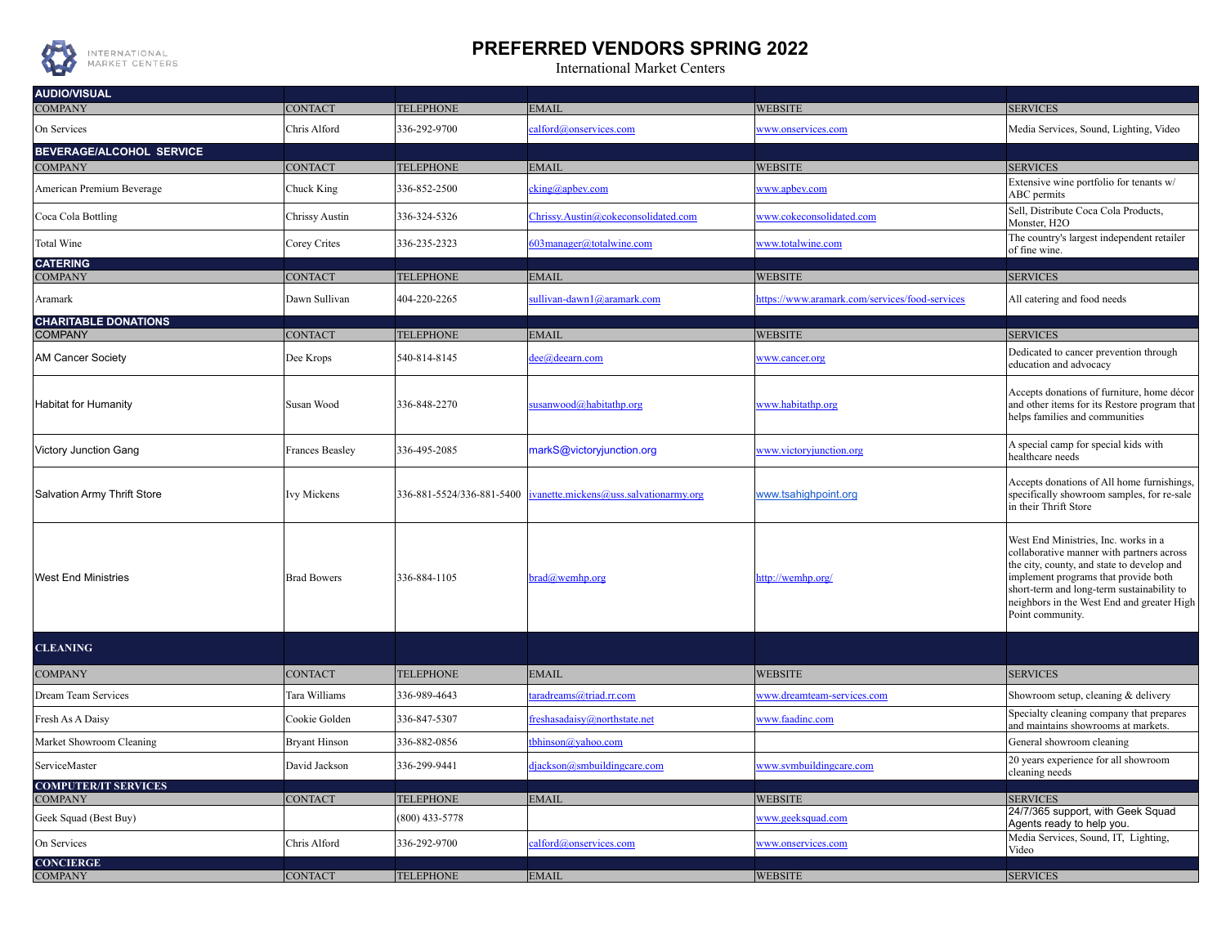

## **PREFERRED VENDORS SPRING 2022**

International Market Centers

| <b>AUDIO/VISUAL</b>                |                        |                  |                                                                     |                                                |                                                                                                                                                                                                                                                                                         |
|------------------------------------|------------------------|------------------|---------------------------------------------------------------------|------------------------------------------------|-----------------------------------------------------------------------------------------------------------------------------------------------------------------------------------------------------------------------------------------------------------------------------------------|
| <b>COMPANY</b>                     | <b>CONTACT</b>         | <b>TELEPHONE</b> | <b>EMAIL</b>                                                        | <b>WEBSITE</b>                                 | <b>SERVICES</b>                                                                                                                                                                                                                                                                         |
| On Services                        | Chris Alford           | 336-292-9700     | calford@onservices.com                                              | www.onservices.com                             | Media Services, Sound, Lighting, Video                                                                                                                                                                                                                                                  |
| <b>BEVERAGE/ALCOHOL SERVICE</b>    |                        |                  |                                                                     |                                                |                                                                                                                                                                                                                                                                                         |
| <b>COMPANY</b>                     | <b>CONTACT</b>         | <b>TELEPHONE</b> | <b>EMAIL</b>                                                        | <b>WEBSITE</b>                                 | <b>SERVICES</b><br>Extensive wine portfolio for tenants w/                                                                                                                                                                                                                              |
| American Premium Beverage          | Chuck King             | 336-852-2500     | $cking(a)$ apbev.com                                                | www.apbev.com                                  | ABC permits                                                                                                                                                                                                                                                                             |
| Coca Cola Bottling                 | Chrissy Austin         | 336-324-5326     | Chrissy.Austin@cokeconsolidated.com                                 | www.cokeconsolidated.com                       | Sell, Distribute Coca Cola Products,<br>Monster, H2O                                                                                                                                                                                                                                    |
| Total Wine                         | Corey Crites           | 336-235-2323     | 603manager@totalwine.com                                            | www.totalwine.com                              | The country's largest independent retailer<br>of fine wine.                                                                                                                                                                                                                             |
| <b>CATERING</b><br><b>COMPANY</b>  | <b>CONTACT</b>         | <b>TELEPHONE</b> | <b>EMAIL</b>                                                        | <b>WEBSITE</b>                                 | <b>SERVICES</b>                                                                                                                                                                                                                                                                         |
| Aramark                            | Dawn Sullivan          | 404-220-2265     | sullivan-dawn1@aramark.com                                          | https://www.aramark.com/services/food-services | All catering and food needs                                                                                                                                                                                                                                                             |
| <b>CHARITABLE DONATIONS</b>        |                        |                  |                                                                     |                                                |                                                                                                                                                                                                                                                                                         |
| <b>COMPANY</b>                     | <b>CONTACT</b>         | <b>TELEPHONE</b> | EMAIL                                                               | <b>WEBSITE</b>                                 | <b>SERVICES</b>                                                                                                                                                                                                                                                                         |
| <b>AM Cancer Society</b>           | Dee Krops              | 540-814-8145     | dee@deearn.com                                                      | www.cancer.org                                 | Dedicated to cancer prevention through<br>education and advocacy                                                                                                                                                                                                                        |
| <b>Habitat for Humanity</b>        | Susan Wood             | 336-848-2270     | susanwood@habitathp.org                                             | www.habitathp.org                              | Accepts donations of furniture, home décor<br>and other items for its Restore program that<br>helps families and communities                                                                                                                                                            |
| <b>Victory Junction Gang</b>       | <b>Frances Beasley</b> | 336-495-2085     | markS@victoryjunction.org                                           | www.victoryjunction.org                        | A special camp for special kids with<br>healthcare needs                                                                                                                                                                                                                                |
| Salvation Army Thrift Store        | Ivy Mickens            |                  | 336-881-5524/336-881-5400 $ ivanette.mickens@uss.salvationarmy.org$ | www.tsahighpoint.org                           | Accepts donations of All home furnishings,<br>specifically showroom samples, for re-sale<br>in their Thrift Store                                                                                                                                                                       |
| <b>West End Ministries</b>         | <b>Brad Bowers</b>     | 336-884-1105     | $brad@$ wemhp.org                                                   | http://wemhp.org/                              | West End Ministries, Inc. works in a<br>collaborative manner with partners across<br>the city, county, and state to develop and<br>implement programs that provide both<br>short-term and long-term sustainability to<br>neighbors in the West End and greater High<br>Point community. |
| <b>CLEANING</b>                    |                        |                  |                                                                     |                                                |                                                                                                                                                                                                                                                                                         |
| <b>COMPANY</b>                     | <b>CONTACT</b>         | <b>TELEPHONE</b> | <b>EMAIL</b>                                                        | <b>WEBSITE</b>                                 | <b>SERVICES</b>                                                                                                                                                                                                                                                                         |
| Dream Team Services                | Tara Williams          | 336-989-4643     | taradreams@triad.rr.com                                             | www.dreamteam-services.com                     | Showroom setup, cleaning & delivery                                                                                                                                                                                                                                                     |
| Fresh As A Daisy                   | Cookie Golden          | 336-847-5307     | freshasadaisy@northstate.net                                        | www.faadinc.com                                | Specialty cleaning company that prepares<br>and maintains showrooms at markets.                                                                                                                                                                                                         |
| Market Showroom Cleaning           | <b>Bryant Hinson</b>   | 336-882-0856     | tbhinson@yahoo.com                                                  |                                                | General showroom cleaning                                                                                                                                                                                                                                                               |
| ServiceMaster                      | David Jackson          | 336-299-9441     | djackson@smbuildingcare.com                                         | www.symbuildingcare.com                        | 20 years experience for all showroom<br>cleaning needs                                                                                                                                                                                                                                  |
| <b>COMPUTER/IT SERVICES</b>        |                        |                  |                                                                     |                                                |                                                                                                                                                                                                                                                                                         |
| <b>COMPANY</b>                     | <b>CONTACT</b>         | <b>TELEPHONE</b> | EMAIL                                                               | <b>WEBSITE</b>                                 | <b>SERVICES</b><br>24/7/365 support, with Geek Squad                                                                                                                                                                                                                                    |
| Geek Squad (Best Buy)              |                        | (800) 433-5778   |                                                                     | www.geeksquad.com                              | Agents ready to help you.                                                                                                                                                                                                                                                               |
| On Services                        | Chris Alford           | 336-292-9700     | calford@onservices.com                                              | www.onservices.com                             | Media Services, Sound, IT, Lighting,<br>Video                                                                                                                                                                                                                                           |
| <b>CONCIERGE</b><br><b>COMPANY</b> | <b>CONTACT</b>         | <b>TELEPHONE</b> | <b>EMAIL</b>                                                        | <b>WEBSITE</b>                                 | <b>SERVICES</b>                                                                                                                                                                                                                                                                         |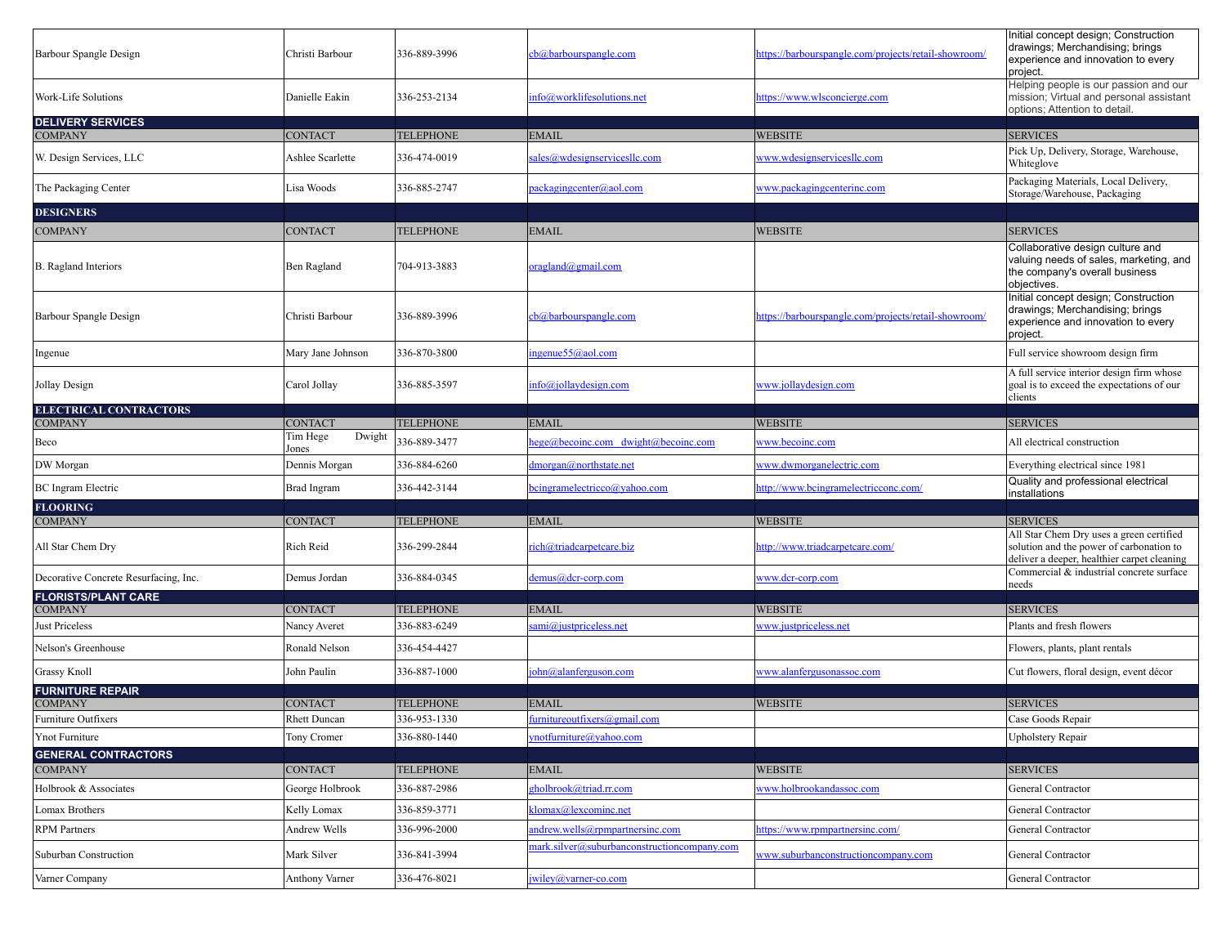| Barbour Spangle Design                          | Christi Barbour                       | 336-889-3996                     | cb@barbourspangle.com                                                          | https://barbourspangle.com/projects/retail-showroom/ | Initial concept design; Construction<br>drawings; Merchandising; brings<br>experience and innovation to every<br>project.           |
|-------------------------------------------------|---------------------------------------|----------------------------------|--------------------------------------------------------------------------------|------------------------------------------------------|-------------------------------------------------------------------------------------------------------------------------------------|
| Work-Life Solutions                             | Danielle Eakin                        | 336-253-2134                     | info@worklifesolutions.net                                                     | https://www.wlsconcierge.com                         | Helping people is our passion and our<br>mission; Virtual and personal assistant<br>options; Attention to detail.                   |
| <b>DELIVERY SERVICES</b><br><b>COMPANY</b>      | CONTACT                               | <b>TELEPHONE</b>                 | <b>EMAIL</b>                                                                   | <b>WEBSITE</b>                                       | <b>SERVICES</b>                                                                                                                     |
| W. Design Services, LLC                         | Ashlee Scarlette                      | 336-474-0019                     | sales@wdesignservicesllc.com                                                   | www.wdesignservicesllc.com                           | Pick Up, Delivery, Storage, Warehouse,<br>Whiteglove                                                                                |
| The Packaging Center                            | Lisa Woods                            | 336-885-2747                     | packagingcenter@aol.com                                                        | www.packagingcenterinc.com                           | Packaging Materials, Local Delivery,<br>Storage/Warehouse, Packaging                                                                |
| <b>DESIGNERS</b>                                |                                       |                                  |                                                                                |                                                      |                                                                                                                                     |
| <b>COMPANY</b>                                  | <b>CONTACT</b>                        | <b>TELEPHONE</b>                 | <b>EMAIL</b>                                                                   | <b>WEBSITE</b>                                       | <b>SERVICES</b>                                                                                                                     |
| B. Ragland Interiors                            | Ben Ragland                           | 704-913-3883                     | or a gland@gmail.com                                                           |                                                      | Collaborative design culture and<br>valuing needs of sales, marketing, and<br>the company's overall business<br>objectives.         |
| Barbour Spangle Design                          | Christi Barbour                       | 336-889-3996                     | cb@barbourspangle.com                                                          | https://barbourspangle.com/projects/retail-showroom/ | Initial concept design; Construction<br>drawings; Merchandising; brings<br>experience and innovation to every<br>project.           |
| Ingenue                                         | Mary Jane Johnson                     | 336-870-3800                     | ingenue55@aol.com                                                              |                                                      | Full service showroom design firm                                                                                                   |
| Jollay Design                                   | Carol Jollay                          | 336-885-3597                     | $info(a)$ jollaydesign.com                                                     | www.jollaydesign.com                                 | A full service interior design firm whose<br>goal is to exceed the expectations of our<br>clients                                   |
| <b>ELECTRICAL CONTRACTORS</b><br><b>COMPANY</b> | <b>CONTACT</b>                        | <b>TELEPHONE</b>                 | <b>EMAIL</b>                                                                   | <b>WEBSITE</b>                                       | <b>SERVICES</b>                                                                                                                     |
|                                                 | Tim Hege<br>Dwight                    |                                  |                                                                                |                                                      |                                                                                                                                     |
| Beco                                            | Jones                                 | 336-889-3477                     | hege@becoinc.com dwight@becoinc.com                                            | www.becoinc.com                                      | All electrical construction                                                                                                         |
| DW Morgan                                       | Dennis Morgan                         | 336-884-6260                     | dmorgan@northstate.net                                                         | www.dwmorganelectric.com                             | Everything electrical since 1981                                                                                                    |
| <b>BC</b> Ingram Electric                       | Brad Ingram                           | 336-442-3144                     | bcingramelectricco@yahoo.com                                                   | http://www.bcingramelectricconc.com/                 | Quality and professional electrical<br>installations                                                                                |
| <b>FLOORING</b><br><b>COMPANY</b>               | <b>CONTACT</b>                        | <b>TELEPHONE</b>                 | <b>EMAIL</b>                                                                   | <b>WEBSITE</b>                                       | <b>SERVICES</b>                                                                                                                     |
| All Star Chem Dry                               | Rich Reid                             | 336-299-2844                     | rich@triadcarpetcare.biz                                                       | http://www.triadcarpetcare.com/                      | All Star Chem Dry uses a green certified<br>solution and the power of carbonation to<br>deliver a deeper, healthier carpet cleaning |
| Decorative Concrete Resurfacing, Inc.           | Demus Jordan                          | 336-884-0345                     | demus@dcr-corp.com                                                             | www.dcr-corp.com                                     | Commercial & industrial concrete surface<br>needs                                                                                   |
| <b>FLORISTS/PLANT CARE</b><br><b>COMPANY</b>    | <b>CONTACT</b>                        |                                  |                                                                                | <b>WEBSITE</b>                                       |                                                                                                                                     |
| Just Priceless                                  | Nancy Averet                          | <b>TELEPHONE</b><br>336-883-6249 | <b>EMAIL</b><br>sami@justpriceless.net                                         | www.justpriceless.net                                | <b>SERVICES</b><br>Plants and fresh flowers                                                                                         |
|                                                 |                                       |                                  |                                                                                |                                                      |                                                                                                                                     |
| Nelson's Greenhouse                             | <b>Ronald Nelson</b>                  | 336-454-4427                     |                                                                                |                                                      | Flowers, plants, plant rentals                                                                                                      |
| <b>Grassy Knoll</b>                             | John Paulin                           | 336-887-1000                     | john@alanferguson.com                                                          | www.alanfergusonassoc.com                            | Cut flowers, floral design, event décor                                                                                             |
| <b>FURNITURE REPAIR</b>                         |                                       |                                  |                                                                                |                                                      |                                                                                                                                     |
| <b>COMPANY</b><br>Furniture Outfixers           | <b>CONTACT</b><br><b>Rhett Duncan</b> | <b>TELEPHONE</b><br>336-953-1330 | <b>EMAIL</b><br>furnitureoutfixers@gmail.com                                   | <b>WEBSITE</b>                                       | <b>SERVICES</b><br>Case Goods Repair                                                                                                |
|                                                 |                                       |                                  |                                                                                |                                                      |                                                                                                                                     |
| <b>Ynot Furniture</b>                           | Tony Cromer                           | 336-880-1440                     | ynotfurniture@yahoo.com                                                        |                                                      | Upholstery Repair                                                                                                                   |
| <b>GENERAL CONTRACTORS</b><br><b>COMPANY</b>    | <b>CONTACT</b>                        | <b>TELEPHONE</b>                 | <b>EMAIL</b>                                                                   | <b>WEBSITE</b>                                       | <b>SERVICES</b>                                                                                                                     |
| Holbrook & Associates                           | George Holbrook                       | 336-887-2986                     | gholbrook@triad.rr.com                                                         | www.holbrookandassoc.com                             | General Contractor                                                                                                                  |
|                                                 |                                       |                                  |                                                                                |                                                      |                                                                                                                                     |
| Lomax Brothers                                  | Kelly Lomax                           | 336-859-3771                     | klomax@lexcominc.net                                                           |                                                      | General Contractor                                                                                                                  |
| <b>RPM Partners</b>                             | <b>Andrew Wells</b>                   | 336-996-2000                     | andrew.wells@rpmpartnersinc.com<br>mark.silver@suburbanconstructioncompany.com | https://www.rpmpartnersinc.com/                      | General Contractor                                                                                                                  |
| Suburban Construction                           | Mark Silver                           | 336-841-3994                     |                                                                                | www.suburbanconstructioncompany.com                  | General Contractor                                                                                                                  |
| Varner Company                                  | <b>Anthony Varner</b>                 | 336-476-8021                     | jwiley@varner-co.com                                                           |                                                      | General Contractor                                                                                                                  |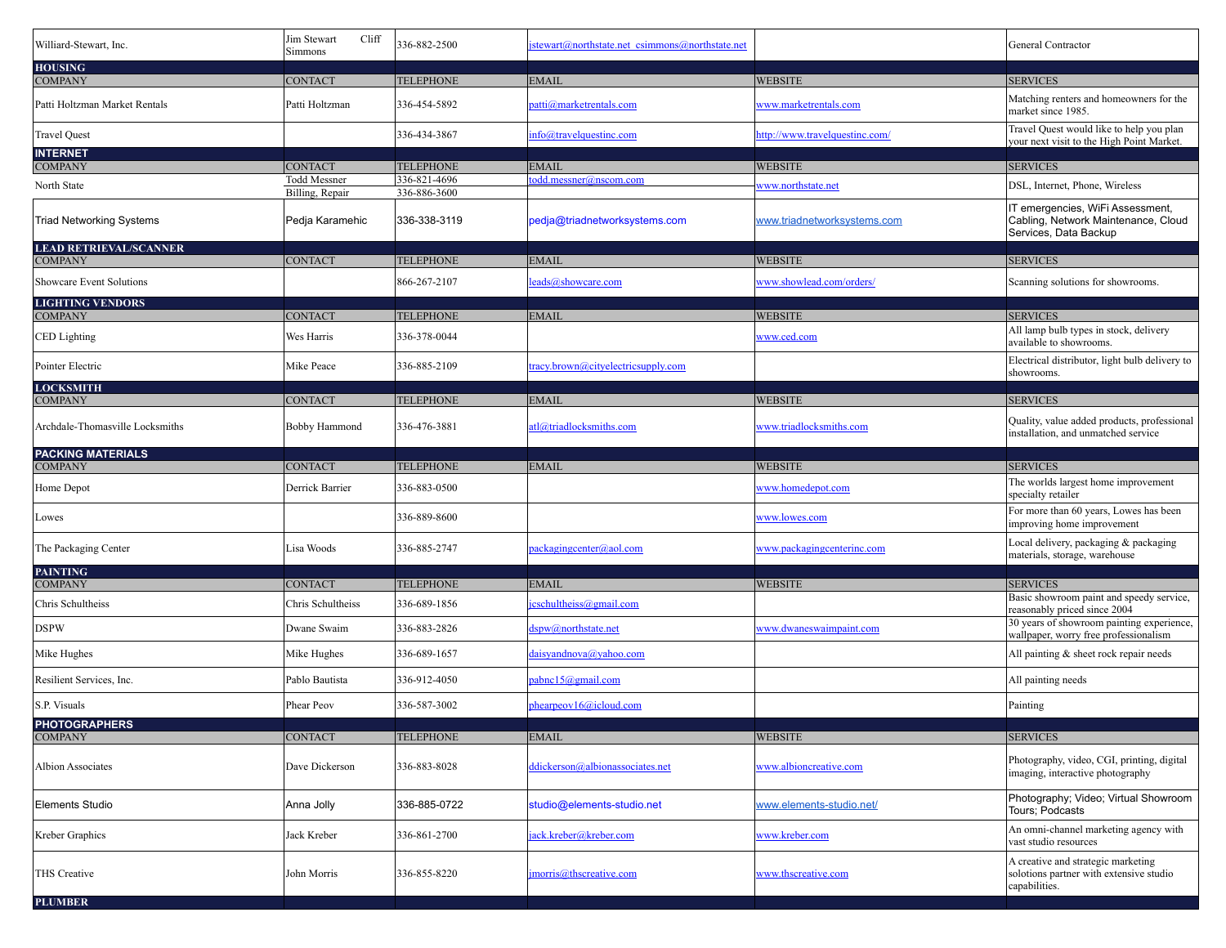| Williard-Stewart, Inc.                          | Jim Stewart<br>Cliff<br>Simmons        | 336-882-2500                 | jstewart@northstate.net_csimmons@northstate.net |                                | General Contractor                                                                               |
|-------------------------------------------------|----------------------------------------|------------------------------|-------------------------------------------------|--------------------------------|--------------------------------------------------------------------------------------------------|
| <b>HOUSING</b><br><b>COMPANY</b>                | <b>CONTACT</b>                         | <b>TELEPHONE</b>             | <b>EMAIL</b>                                    | <b>WEBSITE</b>                 | <b>SERVICES</b>                                                                                  |
| Patti Holtzman Market Rentals                   | Patti Holtzman                         | 336-454-5892                 | patti@marketrentals.com                         | www.marketrentals.com          | Matching renters and homeowners for the<br>market since 1985.                                    |
| <b>Travel Quest</b>                             |                                        | 336-434-3867                 | info@travelquestinc.com                         | http://www.travelquestinc.com/ | Travel Quest would like to help you plan<br>your next visit to the High Point Market.            |
| <b>INTERNET</b><br><b>COMPANY</b>               | <b>CONTACT</b>                         | <b>TELEPHONE</b>             | EMAIL                                           | <b>WEBSITE</b>                 | <b>SERVICES</b>                                                                                  |
| North State                                     | <b>Todd Messner</b><br>Billing, Repair | 336-821-4696<br>336-886-3600 | todd.messner@nscom.com                          | www.northstate.net             | DSL, Internet, Phone, Wireless                                                                   |
| <b>Triad Networking Systems</b>                 | Pedja Karamehic                        | 336-338-3119                 | pedja@triadnetworksystems.com                   | www.triadnetworksystems.com    | IT emergencies, WiFi Assessment,<br>Cabling, Network Maintenance, Cloud<br>Services, Data Backup |
| <b>LEAD RETRIEVAL/SCANNER</b><br><b>COMPANY</b> | <b>CONTACT</b>                         | <b>TELEPHONE</b>             | <b>EMAIL</b>                                    | <b>WEBSITE</b>                 | <b>SERVICES</b>                                                                                  |
| Showcare Event Solutions                        |                                        | 866-267-2107                 | leads@showcare.com                              | www.showlead.com/orders/       | Scanning solutions for showrooms.                                                                |
| <b>LIGHTING VENDORS</b>                         |                                        |                              |                                                 |                                |                                                                                                  |
| <b>COMPANY</b>                                  | <b>CONTACT</b>                         | <b>TELEPHONE</b>             | EMAIL                                           | <b>WEBSITE</b>                 | <b>SERVICES</b>                                                                                  |
| <b>CED</b> Lighting                             | Wes Harris                             | 336-378-0044                 |                                                 | www.ced.com                    | All lamp bulb types in stock, delivery<br>available to showrooms.                                |
| Pointer Electric                                | Mike Peace                             | 336-885-2109                 | tracy.brown@cityelectricsupply.com              |                                | Electrical distributor, light bulb delivery to<br>showrooms.                                     |
| <b>LOCKSMITH</b><br><b>COMPANY</b>              | <b>CONTACT</b>                         | <b>TELEPHONE</b>             | <b>EMAIL</b>                                    | <b>WEBSITE</b>                 | <b>SERVICES</b>                                                                                  |
| Archdale-Thomasville Locksmiths                 | Bobby Hammond                          | 336-476-3881                 | atl@triadlocksmiths.com                         | www.triadlocksmiths.com        | Quality, value added products, professional<br>installation, and unmatched service               |
| <b>PACKING MATERIALS</b>                        |                                        |                              |                                                 |                                |                                                                                                  |
| <b>COMPANY</b>                                  | <b>CONTACT</b>                         | <b>TELEPHONE</b>             | EMAIL                                           | <b>WEBSITE</b>                 | <b>SERVICES</b><br>The worlds largest home improvement                                           |
| Home Depot                                      | Derrick Barrier                        | 336-883-0500                 |                                                 | www.homedepot.com              | specialty retailer                                                                               |
| Lowes                                           |                                        | 336-889-8600                 |                                                 | <u>www.lowes.com</u>           | For more than 60 years, Lowes has been<br>improving home improvement                             |
| The Packaging Center                            | Lisa Woods                             | 336-885-2747                 | packagingcenter@aol.com                         | www.packagingcenterinc.com     | Local delivery, packaging & packaging<br>materials, storage, warehouse                           |
| <b>PAINTING</b><br><b>COMPANY</b>               | <b>CONTACT</b>                         | <b>TELEPHONE</b>             | EMAIL                                           | <b>WEBSITE</b>                 | <b>SERVICES</b>                                                                                  |
| Chris Schultheiss                               | Chris Schultheiss                      | 336-689-1856                 | jcschultheiss@gmail.com                         |                                | Basic showroom paint and speedy service,<br>reasonably priced since 2004                         |
| <b>DSPW</b>                                     | Dwane Swaim                            | 336-883-2826                 | dspw@northstate.net                             | www.dwaneswaimpaint.com        | 30 years of showroom painting experience,<br>wallpaper, worry free professionalism               |
| Mike Hughes                                     | Mike Hughes                            | 336-689-1657                 | daisyandnova@yahoo.com                          |                                | All painting & sheet rock repair needs                                                           |
| Resilient Services, Inc.                        | Pablo Bautista                         | 336-912-4050                 | pabnc15@gmail.com                               |                                | All painting needs                                                                               |
| S.P. Visuals                                    | Phear Peov                             | 336-587-3002                 | phearpeov16@icloud.com                          |                                | Painting                                                                                         |
| PHOTOGRAPHERS<br>COMPANY                        | <b>CONTACT</b>                         | <b>TELEPHONE</b>             | <b>EMAIL</b>                                    | <b>WEBSITE</b>                 | <b>SERVICES</b>                                                                                  |
| <b>Albion Associates</b>                        | Dave Dickerson                         | 336-883-8028                 | ddickerson@albionassociates.net                 | www.albioncreative.com         | Photography, video, CGI, printing, digital<br>imaging, interactive photography                   |
| <b>Elements Studio</b>                          | Anna Jolly                             | 336-885-0722                 | studio@elements-studio.net                      | www.elements-studio.net/       | Photography; Video; Virtual Showroom<br>Tours; Podcasts                                          |
| Kreber Graphics                                 | Jack Kreber                            | 336-861-2700                 | jack.kreber@kreber.com                          | www.kreber.com                 | An omni-channel marketing agency with<br>vast studio resources                                   |
| THS Creative                                    | John Morris                            | 336-855-8220                 | jmorris@thscreative.com                         | www.thscreative.com            | A creative and strategic marketing<br>solotions partner with extensive studio<br>capabilities.   |
| <b>PLUMBER</b>                                  |                                        |                              |                                                 |                                |                                                                                                  |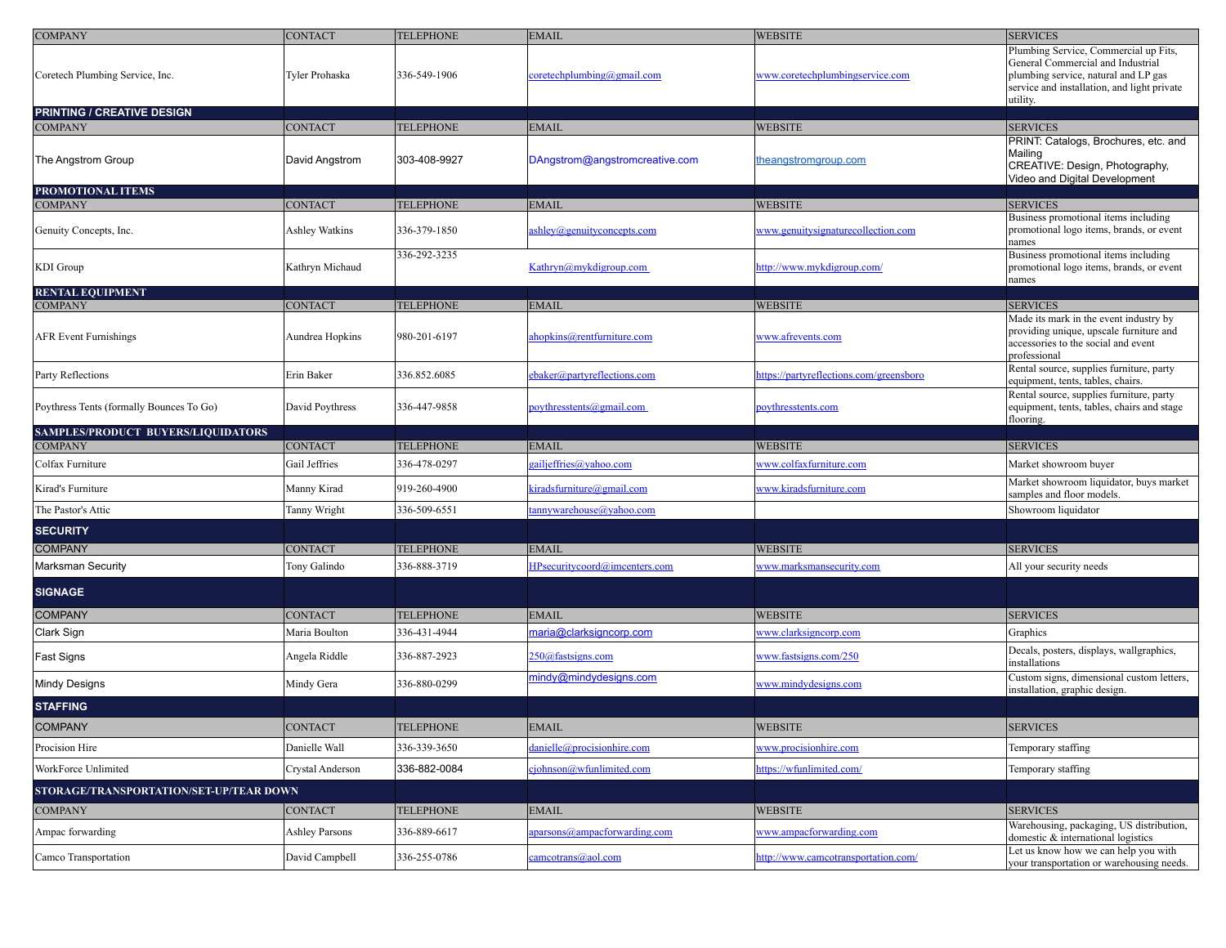| <b>COMPANY</b>                                 | <b>CONTACT</b>                    | <b>TELEPHONE</b>                 | <b>EMAIL</b>                                        | <b>WEBSITE</b>                            | <b>SERVICES</b>                                                                                                                                                               |
|------------------------------------------------|-----------------------------------|----------------------------------|-----------------------------------------------------|-------------------------------------------|-------------------------------------------------------------------------------------------------------------------------------------------------------------------------------|
| Coretech Plumbing Service, Inc.                | Tyler Prohaska                    | 336-549-1906                     | $\c{correctechplumbing}$ @gmail.com                 | www.coretechplumbingservice.com           | Plumbing Service, Commercial up Fits,<br>General Commercial and Industrial<br>plumbing service, natural and LP gas<br>service and installation, and light private<br>utility. |
| PRINTING / CREATIVE DESIGN                     |                                   |                                  |                                                     |                                           |                                                                                                                                                                               |
| <b>COMPANY</b><br>The Angstrom Group           | CONTACT<br>David Angstrom         | <b>TELEPHONE</b><br>303-408-9927 | EMAIL<br>DAngstrom@angstromcreative.com             | <b>WEBSITE</b><br>theangstromgroup.com    | <b>SERVICES</b><br>PRINT: Catalogs, Brochures, etc. and<br>Mailing<br>CREATIVE: Design, Photography,<br>Video and Digital Development                                         |
| PROMOTIONAL ITEMS                              |                                   |                                  |                                                     |                                           |                                                                                                                                                                               |
| <b>COMPANY</b>                                 | <b>CONTACT</b>                    | <b>TELEPHONE</b>                 | <b>EMAIL</b>                                        | <b>WEBSITE</b>                            | <b>SERVICES</b><br>Business promotional items including                                                                                                                       |
| Genuity Concepts, Inc.                         | Ashley Watkins                    | 336-379-1850                     | ashley@genuityconcepts.com                          | www.genuitysignaturecollection.com        | promotional logo items, brands, or event<br>names                                                                                                                             |
| KDI Group                                      | Kathryn Michaud                   | 336-292-3235                     | Kathryn@mykdigroup.com                              | http://www.mykdigroup.com/                | Business promotional items including<br>promotional logo items, brands, or event<br>names                                                                                     |
| <b>RENTAL EQUIPMENT</b>                        |                                   |                                  |                                                     |                                           |                                                                                                                                                                               |
| <b>COMPANY</b><br><b>AFR Event Furnishings</b> | <b>CONTACT</b><br>Aundrea Hopkins | <b>TELEPHONE</b><br>980-201-6197 | <b>EMAIL</b><br>ahopkins@rentfurniture.com          | <b>WEBSITE</b><br>www.afrevents.com       | <b>SERVICES</b><br>Made its mark in the event industry by<br>providing unique, upscale furniture and<br>accessories to the social and event<br>professional                   |
| Party Reflections                              | Erin Baker                        | 336.852.6085                     | ebaker@partyreflections.com                         | https://partyreflections.com/greensboro   | Rental source, supplies furniture, party<br>equipment, tents, tables, chairs.                                                                                                 |
| Poythress Tents (formally Bounces To Go)       | David Poythress                   | 336-447-9858                     | poythresstents@gmail.com                            | poythresstents.com                        | Rental source, supplies furniture, party<br>equipment, tents, tables, chairs and stage<br>flooring.                                                                           |
| SAMPLES/PRODUCT BUYERS/LIQUIDATORS             |                                   |                                  |                                                     |                                           |                                                                                                                                                                               |
| <b>COMPANY</b><br>Colfax Furniture             | <b>CONTACT</b><br>Gail Jeffries   | <b>TELEPHONE</b>                 | <b>EMAIL</b>                                        | <b>WEBSITE</b><br>www.colfaxfurniture.com | <b>SERVICES</b>                                                                                                                                                               |
| Kirad's Furniture                              |                                   | 336-478-0297<br>919-260-4900     | gailjeffries@yahoo.com<br>kiradsfurniture@gmail.com | www.kiradsfurniture.com                   | Market showroom buyer<br>Market showroom liquidator, buys market                                                                                                              |
| The Pastor's Attic                             | Manny Kirad<br>Tanny Wright       | 336-509-6551                     | tannywarehouse@yahoo.com                            |                                           | samples and floor models.<br>Showroom liquidator                                                                                                                              |
| <b>SECURITY</b>                                |                                   |                                  |                                                     |                                           |                                                                                                                                                                               |
| <b>COMPANY</b>                                 | <b>CONTACT</b>                    | <b>TELEPHONE</b>                 | <b>EMAIL</b>                                        | <b>WEBSITE</b>                            | <b>SERVICES</b>                                                                                                                                                               |
| Marksman Security                              | Tony Galindo                      | 336-888-3719                     | HPsecuritycoord@imcenters.com                       | www.marksmansecurity.com                  | All your security needs                                                                                                                                                       |
| <b>SIGNAGE</b>                                 |                                   |                                  |                                                     |                                           |                                                                                                                                                                               |
| <b>COMPANY</b>                                 | <b>CONTACT</b>                    | <b>TELEPHONE</b>                 | <b>EMAIL</b>                                        | <b>WEBSITE</b>                            | <b>SERVICES</b>                                                                                                                                                               |
| Clark Sign                                     | Maria Boulton                     | 336-431-4944                     | maria@clarksigncorp.com                             | www.clarksigncorp.com                     | Graphics                                                                                                                                                                      |
| Fast Signs                                     | Angela Riddle                     | 336-887-2923                     | 250@fastsigns.com                                   | www.fastsigns.com/250                     | Decals, posters, displays, wallgraphics,<br>installations                                                                                                                     |
| <b>Mindy Designs</b>                           | Mindy Gera                        | 336-880-0299                     | mindy@mindydesigns.com                              | www.mindydesigns.com                      | Custom signs, dimensional custom letters,<br>installation, graphic design.                                                                                                    |
| <b>STAFFING</b>                                |                                   |                                  |                                                     |                                           |                                                                                                                                                                               |
| <b>COMPANY</b>                                 | <b>CONTACT</b>                    | <b>TELEPHONE</b>                 | <b>EMAIL</b>                                        | WEBSITE                                   | <b>SERVICES</b>                                                                                                                                                               |
| Procision Hire                                 | Danielle Wall                     | 336-339-3650                     | danielle@procisionhire.com                          | www.procisionhire.com                     | Temporary staffing                                                                                                                                                            |
| WorkForce Unlimited                            | Crystal Anderson                  | 336-882-0084                     | ciohnson@wfunlimited.com                            | https://wfunlimited.com/                  | Temporary staffing                                                                                                                                                            |
| STORAGE/TRANSPORTATION/SET-UP/TEAR DOWN        |                                   |                                  |                                                     |                                           |                                                                                                                                                                               |
| <b>COMPANY</b>                                 | <b>CONTACT</b>                    | <b>TELEPHONE</b>                 | <b>EMAIL</b>                                        | <b>WEBSITE</b>                            | <b>SERVICES</b>                                                                                                                                                               |
| Ampac forwarding                               | <b>Ashley Parsons</b>             | 336-889-6617                     | aparsons@ampacforwarding.com                        | www.ampacforwarding.com                   | Warehousing, packaging, US distribution,<br>domestic & international logistics                                                                                                |
| Camco Transportation                           | David Campbell                    | 336-255-0786                     | camcotrans@aol.com                                  | http://www.camcotransportation.com/       | Let us know how we can help you with<br>your transportation or warehousing needs.                                                                                             |